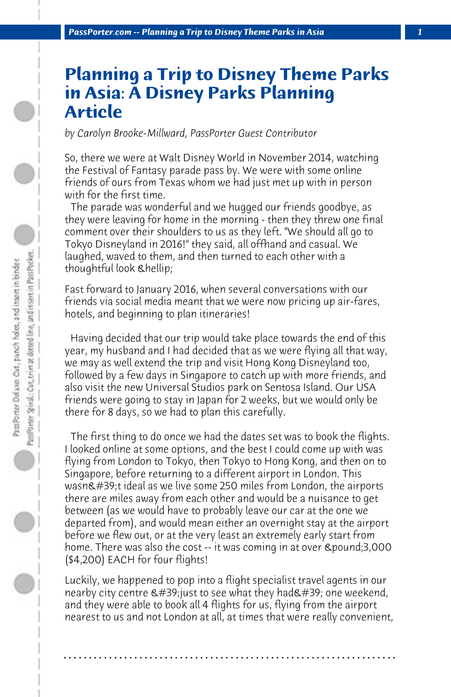## **Planning a Trip to Disney Theme Parks in Asia: A Disney Parks Planning Article**

*by Carolyn Brooke-Millward, PassPorter Guest Contributor*

So, there we were at Walt Disney World in November 2014, watching the Festival of Fantasy parade pass by. We were with some online friends of ours from Texas whom we had just met up with in person with for the first time.

 The parade was wonderful and we hugged our friends goodbye, as they were leaving for home in the morning - then they threw one final comment over their shoulders to us as they left. "We should all go to Tokyo Disneyland in 2016!" they said, all offhand and casual. We laughed, waved to them, and then turned to each other with a thoughtful look *Chellip*;

Fast forward to January 2016, when several conversations with our friends via social media meant that we were now pricing up air-fares, hotels, and beginning to plan itineraries!

 Having decided that our trip would take place towards the end of this year, my husband and I had decided that as we were flying all that way, we may as well extend the trip and visit Hong Kong Disneyland too, followed by a few days in Singapore to catch up with more friends, and also visit the new Universal Studios park on Sentosa Island. Our USA friends were going to stay in Japan for 2 weeks, but we would only be there for 8 days, so we had to plan this carefully.

 The first thing to do once we had the dates set was to book the flights. I looked online at some options, and the best I could come up with was flying from London to Tokyo, then Tokyo to Hong Kong, and then on to Singapore, before returning to a different airport in London. This wasn't ideal as we live some 250 miles from London, the airports there are miles away from each other and would be a nuisance to get between (as we would have to probably leave our car at the one we departed from), and would mean either an overnight stay at the airport before we flew out, or at the very least an extremely early start from home. There was also the cost -- it was coming in at over £3,000 (\$4,200) EACH for four flights!

Luckily, we happened to pop into a flight specialist travel agents in our nearby city centre  $\&\#39$ ; just to see what they had $&\#39$ ; one weekend, and they were able to book all 4 flights for us, flying from the airport nearest to us and not London at all, at times that were really convenient,

**. . . . . . . . . . . . . . . . . . . . . . . . . . . . . . . . . . . . . . . . . . . . . . . . . . . . . . . . . . . . . . . . . .**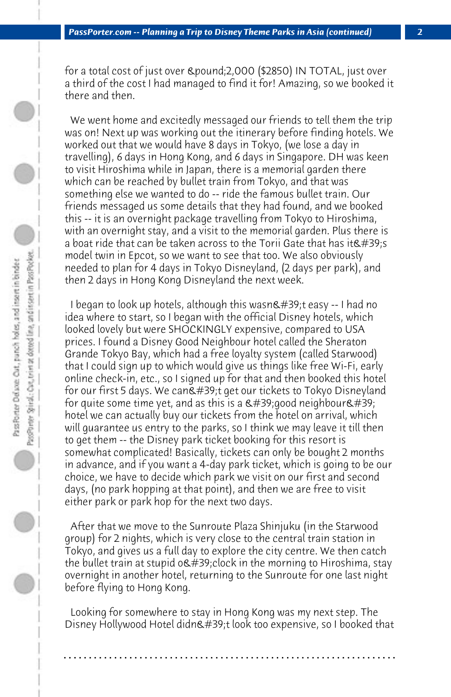for a total cost of just over £2,000 (\$2850) IN TOTAL, just over a third of the cost I had managed to find it for! Amazing, so we booked it there and then.

 We went home and excitedly messaged our friends to tell them the trip was on! Next up was working out the itinerary before finding hotels. We worked out that we would have 8 days in Tokyo, (we lose a day in travelling), 6 days in Hong Kong, and 6 days in Singapore. DH was keen to visit Hiroshima while in Japan, there is a memorial garden there which can be reached by bullet train from Tokyo, and that was something else we wanted to do -- ride the famous bullet train. Our friends messaged us some details that they had found, and we booked this -- it is an overnight package travelling from Tokyo to Hiroshima, with an overnight stay, and a visit to the memorial garden. Plus there is a boat ride that can be taken across to the Torii Gate that has it  $\&\#39$ :s model twin in Epcot, so we want to see that too. We also obviously needed to plan for 4 days in Tokyo Disneyland, (2 days per park), and then 2 days in Hong Kong Disneyland the next week.

I began to look up hotels, although this wasn't easy -- I had no idea where to start, so I began with the official Disney hotels, which looked lovely but were SHOCKINGLY expensive, compared to USA prices. I found a Disney Good Neighbour hotel called the Sheraton Grande Tokyo Bay, which had a free loyalty system (called Starwood) that I could sign up to which would give us things like free Wi-Fi, early online check-in, etc., so I signed up for that and then booked this hotel for our first 5 days. We can't get our tickets to Tokyo Disneyland for quite some time yet, and as this is a  $\&\#39$ ; good neighbour $&\#39$ ; hotel we can actually buy our tickets from the hotel on arrival, which will guarantee us entry to the parks, so I think we may leave it till then to get them -- the Disney park ticket booking for this resort is somewhat complicated! Basically, tickets can only be bought 2 months in advance, and if you want a 4-day park ticket, which is going to be our choice, we have to decide which park we visit on our first and second days, (no park hopping at that point), and then we are free to visit either park or park hop for the next two days.

 After that we move to the Sunroute Plaza Shinjuku (in the Starwood group) for 2 nights, which is very close to the central train station in Tokyo, and gives us a full day to explore the city centre. We then catch the bullet train at stupid  $o$ 'clock in the morning to Hiroshima, stay overnight in another hotel, returning to the Sunroute for one last night before flying to Hong Kong.

 Looking for somewhere to stay in Hong Kong was my next step. The Disney Hollywood Hotel didn't look too expensive, so I booked that

**. . . . . . . . . . . . . . . . . . . . . . . . . . . . . . . . . . . . . . . . . . . . . . . . . . . . . . . . . . . . . . . . . .**